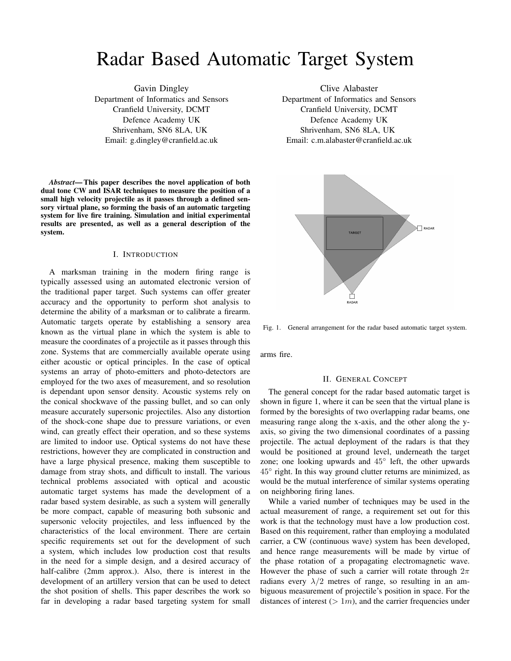# Radar Based Automatic Target System

Gavin Dingley Department of Informatics and Sensors Cranfield University, DCMT Defence Academy UK Shrivenham, SN6 8LA, UK Email: g.dingley@cranfield.ac.uk

*Abstract*— This paper describes the novel application of both dual tone CW and ISAR techniques to measure the position of a small high velocity projectile as it passes through a defined sensory virtual plane, so forming the basis of an automatic targeting system for live fire training. Simulation and initial experimental results are presented, as well as a general description of the system.

#### I. INTRODUCTION

A marksman training in the modern firing range is typically assessed using an automated electronic version of the traditional paper target. Such systems can offer greater accuracy and the opportunity to perform shot analysis to determine the ability of a marksman or to calibrate a firearm. Automatic targets operate by establishing a sensory area known as the virtual plane in which the system is able to measure the coordinates of a projectile as it passes through this zone. Systems that are commercially available operate using either acoustic or optical principles. In the case of optical systems an array of photo-emitters and photo-detectors are employed for the two axes of measurement, and so resolution is dependant upon sensor density. Acoustic systems rely on the conical shockwave of the passing bullet, and so can only measure accurately supersonic projectiles. Also any distortion of the shock-cone shape due to pressure variations, or even wind, can greatly effect their operation, and so these systems are limited to indoor use. Optical systems do not have these restrictions, however they are complicated in construction and have a large physical presence, making them susceptible to damage from stray shots, and difficult to install. The various technical problems associated with optical and acoustic automatic target systems has made the development of a radar based system desirable, as such a system will generally be more compact, capable of measuring both subsonic and supersonic velocity projectiles, and less influenced by the characteristics of the local environment. There are certain specific requirements set out for the development of such a system, which includes low production cost that results in the need for a simple design, and a desired accuracy of half-calibre (2mm approx.). Also, there is interest in the development of an artillery version that can be used to detect the shot position of shells. This paper describes the work so far in developing a radar based targeting system for small

Clive Alabaster Department of Informatics and Sensors Cranfield University, DCMT Defence Academy UK Shrivenham, SN6 8LA, UK Email: c.m.alabaster@cranfield.ac.uk



Fig. 1. General arrangement for the radar based automatic target system.

arms fire.

# II. GENERAL CONCEPT

The general concept for the radar based automatic target is shown in figure 1, where it can be seen that the virtual plane is formed by the boresights of two overlapping radar beams, one measuring range along the x-axis, and the other along the yaxis, so giving the two dimensional coordinates of a passing projectile. The actual deployment of the radars is that they would be positioned at ground level, underneath the target zone; one looking upwards and 45° left, the other upwards 45◦ right. In this way ground clutter returns are minimized, as would be the mutual interference of similar systems operating on neighboring firing lanes.

While a varied number of techniques may be used in the actual measurement of range, a requirement set out for this work is that the technology must have a low production cost. Based on this requirement, rather than employing a modulated carrier, a CW (continuous wave) system has been developed, and hence range measurements will be made by virtue of the phase rotation of a propagating electromagnetic wave. However the phase of such a carrier will rotate through  $2\pi$ radians every  $\lambda/2$  metres of range, so resulting in an ambiguous measurement of projectile's position in space. For the distances of interest  $(1/m)$ , and the carrier frequencies under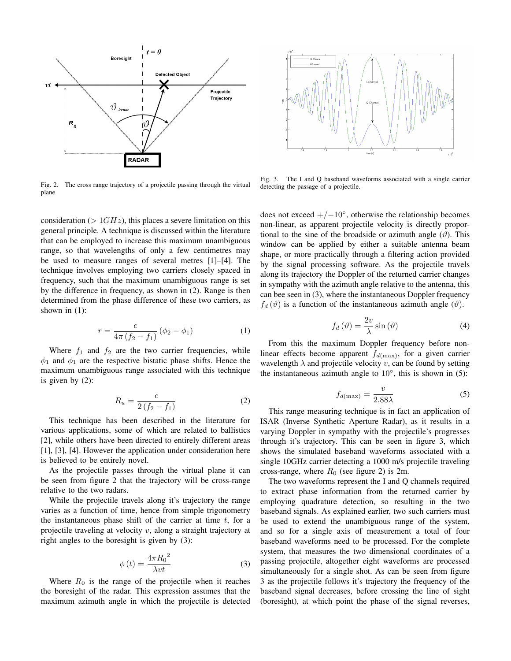

Fig. 2. The cross range trajectory of a projectile passing through the virtual plane

consideration ( $> 1$ GHz), this places a severe limitation on this general principle. A technique is discussed within the literature that can be employed to increase this maximum unambiguous range, so that wavelengths of only a few centimetres may be used to measure ranges of several metres [1]–[4]. The technique involves employing two carriers closely spaced in frequency, such that the maximum unambiguous range is set by the difference in frequency, as shown in (2). Range is then determined from the phase difference of these two carriers, as shown in (1):

$$
r = \frac{c}{4\pi (f_2 - f_1)} (\phi_2 - \phi_1)
$$
 (1)

Where  $f_1$  and  $f_2$  are the two carrier frequencies, while  $\phi_1$  and  $\phi_1$  are the respective bistatic phase shifts. Hence the maximum unambiguous range associated with this technique is given by (2):

$$
R_u = \frac{c}{2(f_2 - f_1)}
$$
 (2)

This technique has been described in the literature for various applications, some of which are related to ballistics [2], while others have been directed to entirely different areas [1], [3], [4]. However the application under consideration here is believed to be entirely novel.

As the projectile passes through the virtual plane it can be seen from figure 2 that the trajectory will be cross-range relative to the two radars.

While the projectile travels along it's trajectory the range varies as a function of time, hence from simple trigonometry the instantaneous phase shift of the carrier at time  $t$ , for a projectile traveling at velocity  $v$ , along a straight trajectory at right angles to the boresight is given by (3):

$$
\phi(t) = \frac{4\pi R_0^2}{\lambda vt} \tag{3}
$$

Where  $R_0$  is the range of the projectile when it reaches the boresight of the radar. This expression assumes that the maximum azimuth angle in which the projectile is detected



Fig. 3. The I and Q baseband waveforms associated with a single carrier detecting the passage of a projectile.

does not exceed  $+/-10°$ , otherwise the relationship becomes non-linear, as apparent projectile velocity is directly proportional to the sine of the broadside or azimuth angle  $(\vartheta)$ . This window can be applied by either a suitable antenna beam shape, or more practically through a filtering action provided by the signal processing software. As the projectile travels along its trajectory the Doppler of the returned carrier changes in sympathy with the azimuth angle relative to the antenna, this can bee seen in (3), where the instantaneous Doppler frequency  $f_d$  ( $\vartheta$ ) is a function of the instantaneous azimuth angle ( $\vartheta$ ).

$$
f_d\left(\vartheta\right) = \frac{2v}{\lambda}\sin\left(\vartheta\right) \tag{4}
$$

From this the maximum Doppler frequency before nonlinear effects become apparent  $f_{d(\text{max})}$ , for a given carrier wavelength  $\lambda$  and projectile velocity v, can be found by setting the instantaneous azimuth angle to  $10^{\circ}$ , this is shown in (5):

$$
f_{d(\max)} = \frac{v}{2.88\lambda} \tag{5}
$$

This range measuring technique is in fact an application of ISAR (Inverse Synthetic Aperture Radar), as it results in a varying Doppler in sympathy with the projectile's progresses through it's trajectory. This can be seen in figure 3, which shows the simulated baseband waveforms associated with a single 10GHz carrier detecting a 1000 m/s projectile traveling cross-range, where  $R_0$  (see figure 2) is 2m.

The two waveforms represent the I and Q channels required to extract phase information from the returned carrier by employing quadrature detection, so resulting in the two baseband signals. As explained earlier, two such carriers must be used to extend the unambiguous range of the system, and so for a single axis of measurement a total of four baseband waveforms need to be processed. For the complete system, that measures the two dimensional coordinates of a passing projectile, altogether eight waveforms are processed simultaneously for a single shot. As can be seen from figure 3 as the projectile follows it's trajectory the frequency of the baseband signal decreases, before crossing the line of sight (boresight), at which point the phase of the signal reverses,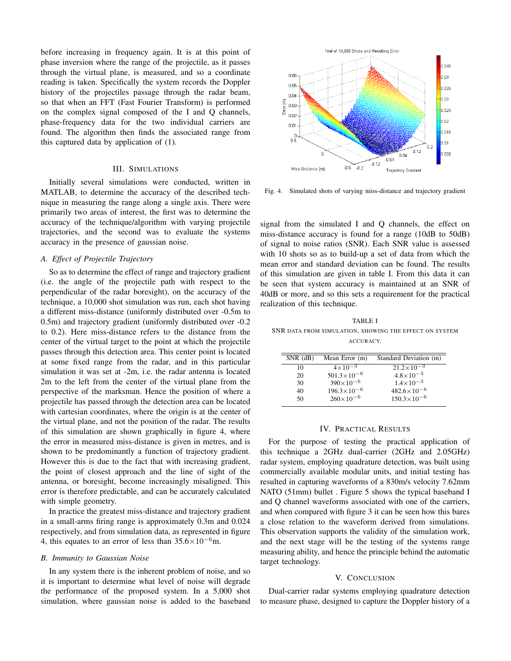before increasing in frequency again. It is at this point of phase inversion where the range of the projectile, as it passes through the virtual plane, is measured, and so a coordinate reading is taken. Specifically the system records the Doppler history of the projectiles passage through the radar beam, so that when an FFT (Fast Fourier Transform) is performed on the complex signal composed of the I and Q channels, phase-frequency data for the two individual carriers are found. The algorithm then finds the associated range from this captured data by application of (1).

# III. SIMULATIONS

Initially several simulations were conducted, written in MATLAB, to determine the accuracy of the described technique in measuring the range along a single axis. There were primarily two areas of interest, the first was to determine the accuracy of the technique/algorithm with varying projectile trajectories, and the second was to evaluate the systems accuracy in the presence of gaussian noise.

# *A. Effect of Projectile Trajectory*

So as to determine the effect of range and trajectory gradient (i.e. the angle of the projectile path with respect to the perpendicular of the radar boresight), on the accuracy of the technique, a 10,000 shot simulation was run, each shot having a different miss-distance (uniformly distributed over -0.5m to 0.5m) and trajectory gradient (uniformly distributed over -0.2 to 0.2). Here miss-distance refers to the distance from the center of the virtual target to the point at which the projectile passes through this detection area. This center point is located at some fixed range from the radar, and in this particular simulation it was set at -2m, i.e. the radar antenna is located 2m to the left from the center of the virtual plane from the perspective of the marksman. Hence the position of where a projectile has passed through the detection area can be located with cartesian coordinates, where the origin is at the center of the virtual plane, and not the position of the radar. The results of this simulation are shown graphically in figure 4, where the error in measured miss-distance is given in metres, and is shown to be predominantly a function of trajectory gradient. However this is due to the fact that with increasing gradient, the point of closest approach and the line of sight of the antenna, or boresight, become increasingly misaligned. This error is therefore predictable, and can be accurately calculated with simple geometry.

In practice the greatest miss-distance and trajectory gradient in a small-arms firing range is approximately 0.3m and 0.024 respectively, and from simulation data, as represented in figure 4, this equates to an error of less than  $35.6 \times 10^{-6}$ m.

## *B. Immunity to Gaussian Noise*

In any system there is the inherent problem of noise, and so it is important to determine what level of noise will degrade the performance of the proposed system. In a 5,000 shot simulation, where gaussian noise is added to the baseband



Fig. 4. Simulated shots of varying miss-distance and trajectory gradient

signal from the simulated I and Q channels, the effect on miss-distance accuracy is found for a range (10dB to 50dB) of signal to noise ratios (SNR). Each SNR value is assessed with 10 shots so as to build-up a set of data from which the mean error and standard deviation can be found. The results of this simulation are given in table I. From this data it can be seen that system accuracy is maintained at an SNR of 40dB or more, and so this sets a requirement for the practical realization of this technique.

TABLE I

SNR DATA FROM SIMULATION, SHOWING THE EFFECT ON SYSTEM ACCURACY.

| $SNR$ (dB) | Mean Error (m)         | Standard Deviation (m) |
|------------|------------------------|------------------------|
|            |                        |                        |
| 10         | $4 \times 10^{-3}$     | $21.2\times10^{-3}$    |
| 20         | $501.3 \times 10^{-6}$ | $4.8 \times 10^{-3}$   |
| 30         | $390\times10^{-6}$     | $1.4\times10^{-3}$     |
| 40         | $196.3 \times 10^{-6}$ | $482.6 \times 10^{-6}$ |
| 50         | $260\times10^{-6}$     | $150.3 \times 10^{-6}$ |
|            |                        |                        |

### IV. PRACTICAL RESULTS

For the purpose of testing the practical application of this technique a 2GHz dual-carrier (2GHz and 2.05GHz) radar system, employing quadrature detection, was built using commercially available modular units, and initial testing has resulted in capturing waveforms of a 830m/s velocity 7.62mm NATO (51mm) bullet . Figure 5 shows the typical baseband I and Q channel waveforms associated with one of the carriers, and when compared with figure 3 it can be seen how this bares a close relation to the waveform derived from simulations. This observation supports the validity of the simulation work, and the next stage will be the testing of the systems range measuring ability, and hence the principle behind the automatic target technology.

# V. CONCLUSION

Dual-carrier radar systems employing quadrature detection to measure phase, designed to capture the Doppler history of a